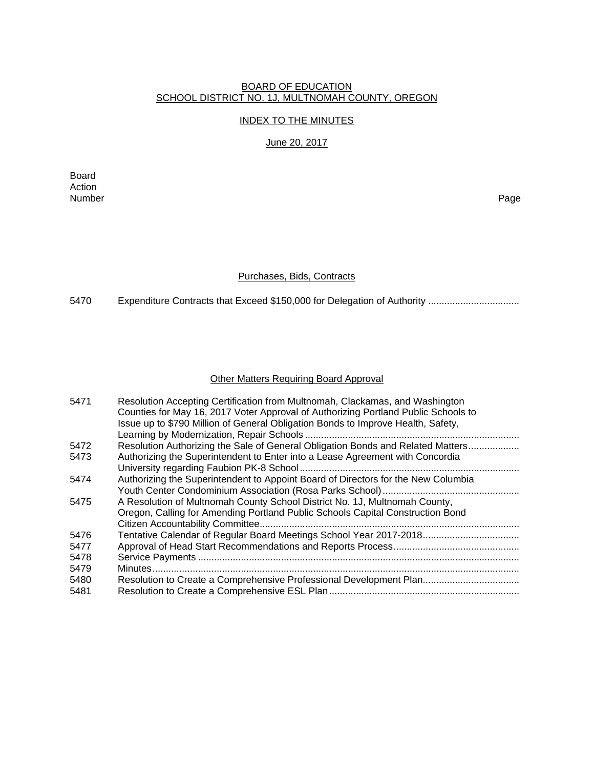#### BOARD OF EDUCATION SCHOOL DISTRICT NO. 1J, MULTNOMAH COUNTY, OREGON

### INDEX TO THE MINUTES

## June 20, 2017

Board Action<br>Number Number Page

### Purchases, Bids, Contracts

5470 Expenditure Contracts that Exceed \$150,000 for Delegation of Authority .................................

### Other Matters Requiring Board Approval

| 5471 | Resolution Accepting Certification from Multnomah, Clackamas, and Washington       |
|------|------------------------------------------------------------------------------------|
|      | Counties for May 16, 2017 Voter Approval of Authorizing Portland Public Schools to |
|      | Issue up to \$790 Million of General Obligation Bonds to Improve Health, Safety,   |
|      |                                                                                    |
| 5472 | Resolution Authorizing the Sale of General Obligation Bonds and Related Matters    |
| 5473 | Authorizing the Superintendent to Enter into a Lease Agreement with Concordia      |
|      |                                                                                    |
| 5474 | Authorizing the Superintendent to Appoint Board of Directors for the New Columbia  |
|      |                                                                                    |
| 5475 | A Resolution of Multnomah County School District No. 1J, Multnomah County,         |
|      | Oregon, Calling for Amending Portland Public Schools Capital Construction Bond     |
|      |                                                                                    |
| 5476 | Tentative Calendar of Regular Board Meetings School Year 2017-2018                 |
| 5477 |                                                                                    |
| 5478 |                                                                                    |
| 5479 |                                                                                    |
| 5480 | Resolution to Create a Comprehensive Professional Development Plan                 |
| 5481 |                                                                                    |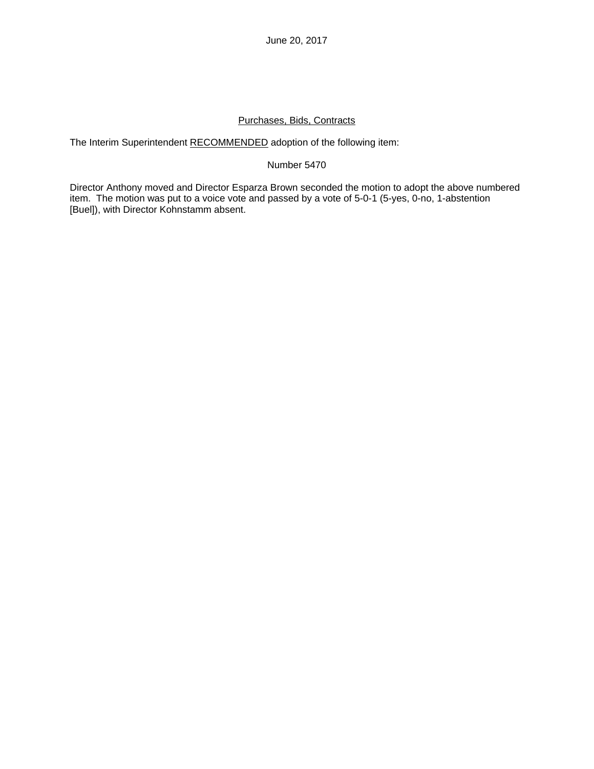June 20, 2017

## Purchases, Bids, Contracts

The Interim Superintendent RECOMMENDED adoption of the following item:

## Number 5470

Director Anthony moved and Director Esparza Brown seconded the motion to adopt the above numbered item. The motion was put to a voice vote and passed by a vote of 5-0-1 (5-yes, 0-no, 1-abstention [Buel]), with Director Kohnstamm absent.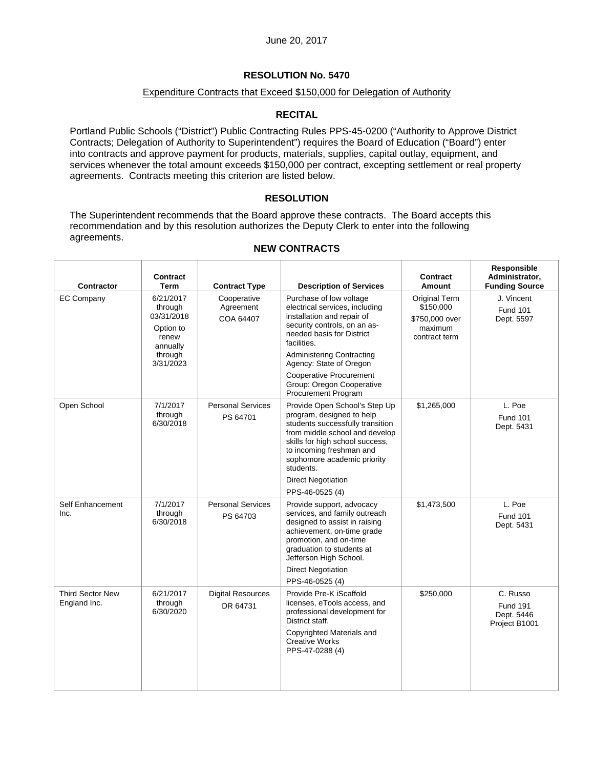## Expenditure Contracts that Exceed \$150,000 for Delegation of Authority

## **RECITAL**

Portland Public Schools ("District") Public Contracting Rules PPS-45-0200 ("Authority to Approve District Contracts; Delegation of Authority to Superintendent") requires the Board of Education ("Board") enter into contracts and approve payment for products, materials, supplies, capital outlay, equipment, and services whenever the total amount exceeds \$150,000 per contract, excepting settlement or real property agreements. Contracts meeting this criterion are listed below.

## **RESOLUTION**

The Superintendent recommends that the Board approve these contracts. The Board accepts this recommendation and by this resolution authorizes the Deputy Clerk to enter into the following agreements.

| Contractor                              | Contract<br>Term                                                                             | <b>Contract Type</b>                  | <b>Description of Services</b>                                                                                                                                                                                                                                                                                                  | Contract<br>Amount                                                       | Responsible<br>Administrator,<br><b>Funding Source</b>     |
|-----------------------------------------|----------------------------------------------------------------------------------------------|---------------------------------------|---------------------------------------------------------------------------------------------------------------------------------------------------------------------------------------------------------------------------------------------------------------------------------------------------------------------------------|--------------------------------------------------------------------------|------------------------------------------------------------|
| <b>EC Company</b>                       | 6/21/2017<br>through<br>03/31/2018<br>Option to<br>renew<br>annually<br>through<br>3/31/2023 | Cooperative<br>Agreement<br>COA 64407 | Purchase of low voltage<br>electrical services, including<br>installation and repair of<br>security controls, on an as-<br>needed basis for District<br>facilities.<br><b>Administering Contracting</b><br>Agency: State of Oregon<br><b>Cooperative Procurement</b><br>Group: Oregon Cooperative<br><b>Procurement Program</b> | Original Term<br>\$150,000<br>\$750,000 over<br>maximum<br>contract term | J. Vincent<br><b>Fund 101</b><br>Dept. 5597                |
| Open School                             | 7/1/2017<br>through<br>6/30/2018                                                             | <b>Personal Services</b><br>PS 64701  | Provide Open School's Step Up<br>program, designed to help<br>students successfully transition<br>from middle school and develop<br>skills for high school success,<br>to incoming freshman and<br>sophomore academic priority<br>students.<br><b>Direct Negotiation</b><br>PPS-46-0525 (4)                                     | \$1,265,000                                                              | L. Poe<br><b>Fund 101</b><br>Dept. 5431                    |
| Self Enhancement<br>Inc.                | 7/1/2017<br>through<br>6/30/2018                                                             | <b>Personal Services</b><br>PS 64703  | Provide support, advocacy<br>services, and family outreach<br>designed to assist in raising<br>achievement, on-time grade<br>promotion, and on-time<br>graduation to students at<br>Jefferson High School.<br><b>Direct Negotiation</b><br>PPS-46-0525 (4)                                                                      | \$1,473,500                                                              | L. Poe<br><b>Fund 101</b><br>Dept. 5431                    |
| <b>Third Sector New</b><br>England Inc. | 6/21/2017<br>through<br>6/30/2020                                                            | <b>Digital Resources</b><br>DR 64731  | Provide Pre-K iScaffold<br>licenses, eTools access, and<br>professional development for<br>District staff.<br>Copyrighted Materials and<br><b>Creative Works</b><br>PPS-47-0288 (4)                                                                                                                                             | \$250,000                                                                | C. Russo<br><b>Fund 191</b><br>Dept. 5446<br>Project B1001 |

## **NEW CONTRACTS**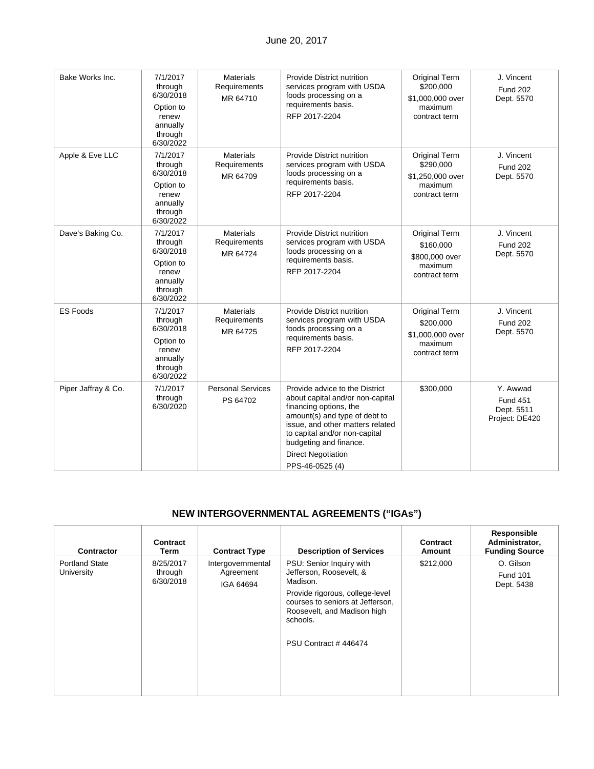| Bake Works Inc.     | 7/1/2017<br>through<br>6/30/2018<br>Option to<br>renew<br>annually<br>through<br>6/30/2022 | <b>Materials</b><br>Requirements<br>MR 64710 | Provide District nutrition<br>services program with USDA<br>foods processing on a<br>requirements basis.<br>RFP 2017-2204                                                                                                                                                    | Original Term<br>\$200,000<br>\$1,000,000 over<br>maximum<br>contract term      | J. Vincent<br><b>Fund 202</b><br>Dept. 5570                 |
|---------------------|--------------------------------------------------------------------------------------------|----------------------------------------------|------------------------------------------------------------------------------------------------------------------------------------------------------------------------------------------------------------------------------------------------------------------------------|---------------------------------------------------------------------------------|-------------------------------------------------------------|
| Apple & Eve LLC     | 7/1/2017<br>through<br>6/30/2018<br>Option to<br>renew<br>annually<br>through<br>6/30/2022 | <b>Materials</b><br>Requirements<br>MR 64709 | Provide District nutrition<br>services program with USDA<br>foods processing on a<br>requirements basis.<br>RFP 2017-2204                                                                                                                                                    | Original Term<br>\$290,000<br>\$1,250,000 over<br>maximum<br>contract term      | J. Vincent<br><b>Fund 202</b><br>Dept. 5570                 |
| Dave's Baking Co.   | 7/1/2017<br>through<br>6/30/2018<br>Option to<br>renew<br>annually<br>through<br>6/30/2022 | <b>Materials</b><br>Requirements<br>MR 64724 | Provide District nutrition<br>services program with USDA<br>foods processing on a<br>requirements basis.<br>RFP 2017-2204                                                                                                                                                    | <b>Original Term</b><br>\$160,000<br>\$800,000 over<br>maximum<br>contract term | J. Vincent<br><b>Fund 202</b><br>Dept. 5570                 |
| <b>ES Foods</b>     | 7/1/2017<br>through<br>6/30/2018<br>Option to<br>renew<br>annually<br>through<br>6/30/2022 | <b>Materials</b><br>Requirements<br>MR 64725 | Provide District nutrition<br>services program with USDA<br>foods processing on a<br>requirements basis.<br>RFP 2017-2204                                                                                                                                                    | Original Term<br>\$200,000<br>\$1,000,000 over<br>maximum<br>contract term      | J. Vincent<br><b>Fund 202</b><br>Dept. 5570                 |
| Piper Jaffray & Co. | 7/1/2017<br>through<br>6/30/2020                                                           | <b>Personal Services</b><br>PS 64702         | Provide advice to the District<br>about capital and/or non-capital<br>financing options, the<br>amount(s) and type of debt to<br>issue, and other matters related<br>to capital and/or non-capital<br>budgeting and finance.<br><b>Direct Negotiation</b><br>PPS-46-0525 (4) | \$300,000                                                                       | Y. Awwad<br><b>Fund 451</b><br>Dept. 5511<br>Project: DE420 |

# **NEW INTERGOVERNMENTAL AGREEMENTS ("IGAs")**

| <b>Description of Services</b><br><b>Contract Type</b><br>Contractor<br>Term<br>Amount                                                                                                                                                                                                                                                            | Administrator,<br><b>Funding Source</b>    |
|---------------------------------------------------------------------------------------------------------------------------------------------------------------------------------------------------------------------------------------------------------------------------------------------------------------------------------------------------|--------------------------------------------|
| <b>Portland State</b><br>\$212,000<br>8/25/2017<br>PSU: Senior Inquiry with<br>Intergovernmental<br>Jefferson, Roosevelt, &<br>University<br>Agreement<br>through<br>6/30/2018<br>Madison.<br>IGA 64694<br>Provide rigorous, college-level<br>courses to seniors at Jefferson,<br>Roosevelt, and Madison high<br>schools.<br>PSU Contract #446474 | O. Gilson<br><b>Fund 101</b><br>Dept. 5438 |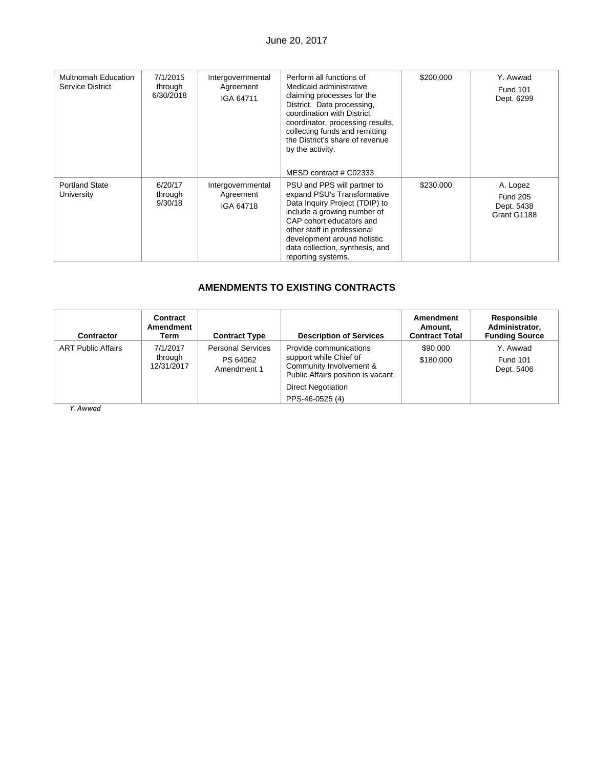## June 20, 2017

| <b>Multnomah Education</b><br>Service District | 7/1/2015<br>through<br>6/30/2018 | Intergovernmental<br>Agreement<br>IGA 64711 | Perform all functions of<br>Medicaid administrative<br>claiming processes for the<br>District. Data processing,<br>coordination with District<br>coordinator, processing results,<br>collecting funds and remitting<br>the District's share of revenue<br>by the activity.<br>MESD contract # C02333 | \$200,000 | Y. Awwad<br><b>Fund 101</b><br>Dept. 6299                |
|------------------------------------------------|----------------------------------|---------------------------------------------|------------------------------------------------------------------------------------------------------------------------------------------------------------------------------------------------------------------------------------------------------------------------------------------------------|-----------|----------------------------------------------------------|
| <b>Portland State</b><br>University            | 6/20/17<br>through<br>9/30/18    | Intergovernmental<br>Agreement<br>IGA 64718 | PSU and PPS will partner to<br>expand PSU's Transformative<br>Data Inquiry Project (TDIP) to<br>include a growing number of<br>CAP cohort educators and<br>other staff in professional<br>development around holistic<br>data collection, synthesis, and<br>reporting systems.                       | \$230,000 | A. Lopez<br><b>Fund 205</b><br>Dept. 5438<br>Grant G1188 |

## **AMENDMENTS TO EXISTING CONTRACTS**

| <b>Contractor</b>         | Contract<br>Amendment<br>Term     | <b>Contract Type</b>                                | <b>Description of Services</b>                                                                                    | Amendment<br>Amount.<br><b>Contract Total</b> | <b>Responsible</b><br>Administrator,<br><b>Funding Source</b> |
|---------------------------|-----------------------------------|-----------------------------------------------------|-------------------------------------------------------------------------------------------------------------------|-----------------------------------------------|---------------------------------------------------------------|
| <b>ART Public Affairs</b> | 7/1/2017<br>through<br>12/31/2017 | <b>Personal Services</b><br>PS 64062<br>Amendment 1 | Provide communications<br>support while Chief of<br>Community Involvement &<br>Public Affairs position is vacant. | \$90,000<br>\$180,000                         | Y. Awwad<br><b>Fund 101</b><br>Dept. 5406                     |
|                           |                                   |                                                     | <b>Direct Negotiation</b>                                                                                         |                                               |                                                               |
|                           |                                   |                                                     | PPS-46-0525 (4)                                                                                                   |                                               |                                                               |

*Y. Awwad*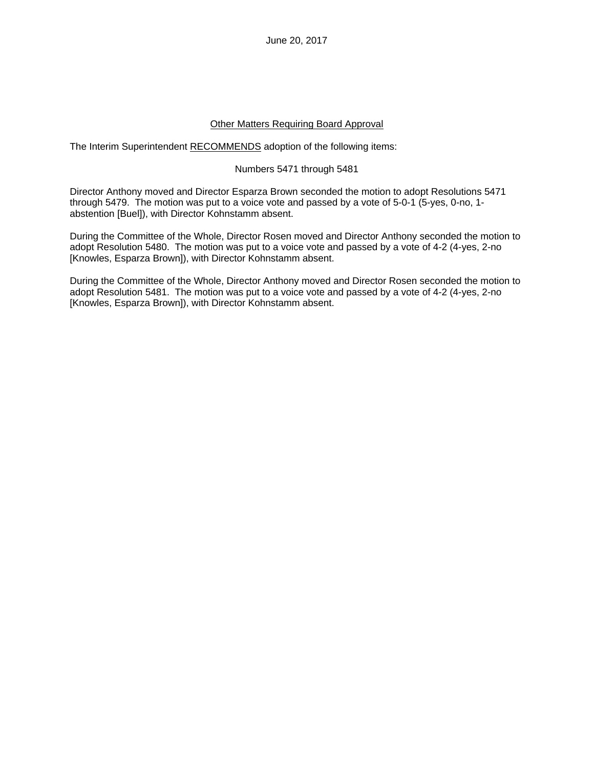June 20, 2017

### Other Matters Requiring Board Approval

The Interim Superintendent RECOMMENDS adoption of the following items:

#### Numbers 5471 through 5481

Director Anthony moved and Director Esparza Brown seconded the motion to adopt Resolutions 5471 through 5479. The motion was put to a voice vote and passed by a vote of 5-0-1 (5-yes, 0-no, 1 abstention [Buel]), with Director Kohnstamm absent.

During the Committee of the Whole, Director Rosen moved and Director Anthony seconded the motion to adopt Resolution 5480. The motion was put to a voice vote and passed by a vote of 4-2 (4-yes, 2-no [Knowles, Esparza Brown]), with Director Kohnstamm absent.

During the Committee of the Whole, Director Anthony moved and Director Rosen seconded the motion to adopt Resolution 5481. The motion was put to a voice vote and passed by a vote of 4-2 (4-yes, 2-no [Knowles, Esparza Brown]), with Director Kohnstamm absent.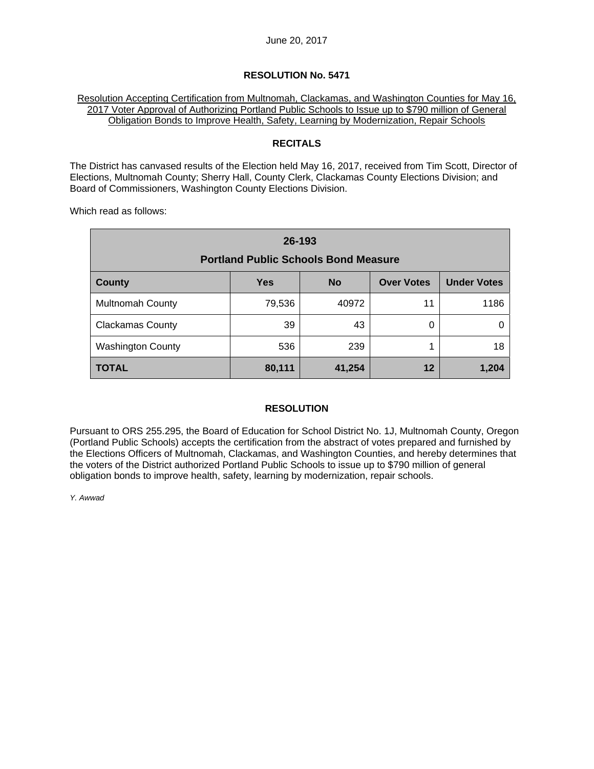#### Resolution Accepting Certification from Multnomah, Clackamas, and Washington Counties for May 16, 2017 Voter Approval of Authorizing Portland Public Schools to Issue up to \$790 million of General Obligation Bonds to Improve Health, Safety, Learning by Modernization, Repair Schools

## **RECITALS**

The District has canvased results of the Election held May 16, 2017, received from Tim Scott, Director of Elections, Multnomah County; Sherry Hall, County Clerk, Clackamas County Elections Division; and Board of Commissioners, Washington County Elections Division.

Which read as follows:

| 26-193<br><b>Portland Public Schools Bond Measure</b>                               |        |       |    |      |  |  |  |  |
|-------------------------------------------------------------------------------------|--------|-------|----|------|--|--|--|--|
| <b>Under Votes</b><br><b>Over Votes</b><br><b>Yes</b><br><b>County</b><br><b>No</b> |        |       |    |      |  |  |  |  |
| <b>Multnomah County</b>                                                             | 79,536 | 40972 | 11 | 1186 |  |  |  |  |
| <b>Clackamas County</b>                                                             | 39     | 43    | 0  |      |  |  |  |  |
| <b>Washington County</b>                                                            | 536    | 239   |    | 18   |  |  |  |  |
| TOTAL<br>12<br>41,254<br>80,111<br>1,204                                            |        |       |    |      |  |  |  |  |

## **RESOLUTION**

Pursuant to ORS 255.295, the Board of Education for School District No. 1J, Multnomah County, Oregon (Portland Public Schools) accepts the certification from the abstract of votes prepared and furnished by the Elections Officers of Multnomah, Clackamas, and Washington Counties, and hereby determines that the voters of the District authorized Portland Public Schools to issue up to \$790 million of general obligation bonds to improve health, safety, learning by modernization, repair schools.

*Y. Awwad*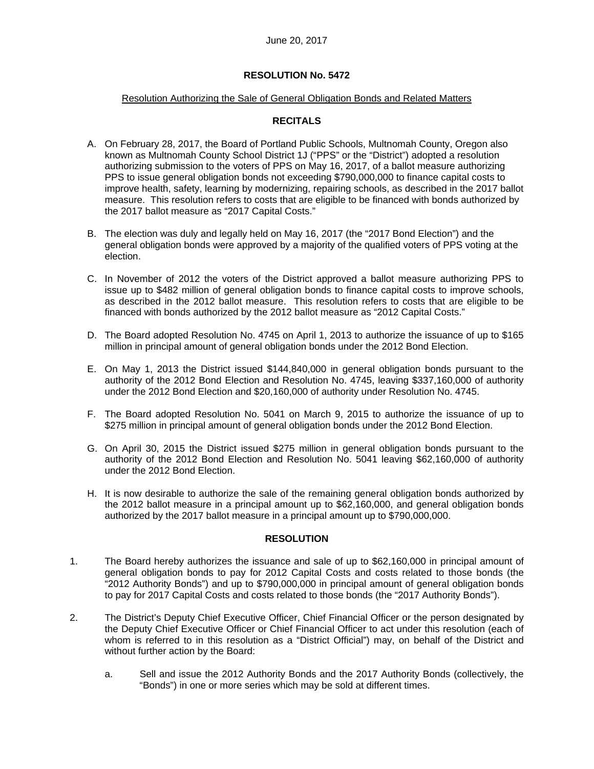## Resolution Authorizing the Sale of General Obligation Bonds and Related Matters

## **RECITALS**

- A. On February 28, 2017, the Board of Portland Public Schools, Multnomah County, Oregon also known as Multnomah County School District 1J ("PPS" or the "District") adopted a resolution authorizing submission to the voters of PPS on May 16, 2017, of a ballot measure authorizing PPS to issue general obligation bonds not exceeding \$790,000,000 to finance capital costs to improve health, safety, learning by modernizing, repairing schools, as described in the 2017 ballot measure. This resolution refers to costs that are eligible to be financed with bonds authorized by the 2017 ballot measure as "2017 Capital Costs."
- B. The election was duly and legally held on May 16, 2017 (the "2017 Bond Election") and the general obligation bonds were approved by a majority of the qualified voters of PPS voting at the election.
- C. In November of 2012 the voters of the District approved a ballot measure authorizing PPS to issue up to \$482 million of general obligation bonds to finance capital costs to improve schools, as described in the 2012 ballot measure. This resolution refers to costs that are eligible to be financed with bonds authorized by the 2012 ballot measure as "2012 Capital Costs."
- D. The Board adopted Resolution No. 4745 on April 1, 2013 to authorize the issuance of up to \$165 million in principal amount of general obligation bonds under the 2012 Bond Election.
- E. On May 1, 2013 the District issued \$144,840,000 in general obligation bonds pursuant to the authority of the 2012 Bond Election and Resolution No. 4745, leaving \$337,160,000 of authority under the 2012 Bond Election and \$20,160,000 of authority under Resolution No. 4745.
- F. The Board adopted Resolution No. 5041 on March 9, 2015 to authorize the issuance of up to \$275 million in principal amount of general obligation bonds under the 2012 Bond Election.
- G. On April 30, 2015 the District issued \$275 million in general obligation bonds pursuant to the authority of the 2012 Bond Election and Resolution No. 5041 leaving \$62,160,000 of authority under the 2012 Bond Election.
- H. It is now desirable to authorize the sale of the remaining general obligation bonds authorized by the 2012 ballot measure in a principal amount up to \$62,160,000, and general obligation bonds authorized by the 2017 ballot measure in a principal amount up to \$790,000,000.

#### **RESOLUTION**

- 1. The Board hereby authorizes the issuance and sale of up to \$62,160,000 in principal amount of general obligation bonds to pay for 2012 Capital Costs and costs related to those bonds (the "2012 Authority Bonds") and up to \$790,000,000 in principal amount of general obligation bonds to pay for 2017 Capital Costs and costs related to those bonds (the "2017 Authority Bonds").
- 2. The District's Deputy Chief Executive Officer, Chief Financial Officer or the person designated by the Deputy Chief Executive Officer or Chief Financial Officer to act under this resolution (each of whom is referred to in this resolution as a "District Official") may, on behalf of the District and without further action by the Board:
	- a. Sell and issue the 2012 Authority Bonds and the 2017 Authority Bonds (collectively, the "Bonds") in one or more series which may be sold at different times.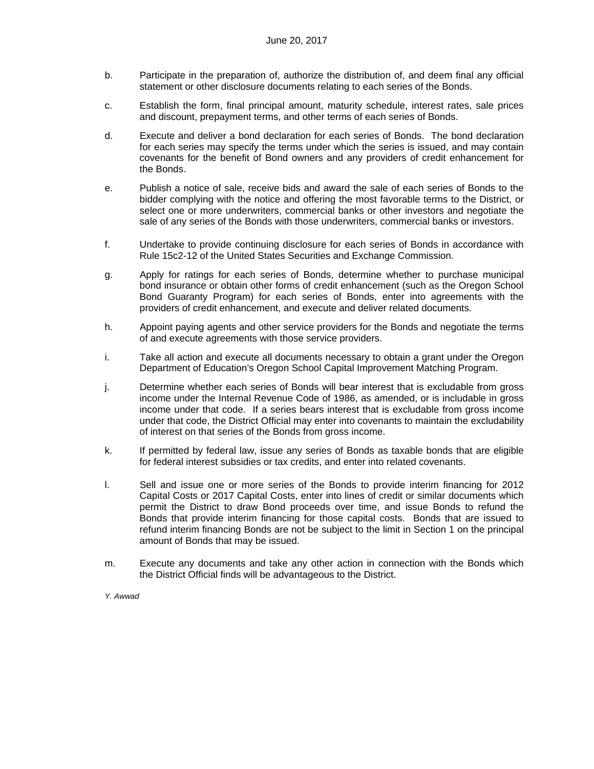- b. Participate in the preparation of, authorize the distribution of, and deem final any official statement or other disclosure documents relating to each series of the Bonds.
- c. Establish the form, final principal amount, maturity schedule, interest rates, sale prices and discount, prepayment terms, and other terms of each series of Bonds.
- d. Execute and deliver a bond declaration for each series of Bonds. The bond declaration for each series may specify the terms under which the series is issued, and may contain covenants for the benefit of Bond owners and any providers of credit enhancement for the Bonds.
- e. Publish a notice of sale, receive bids and award the sale of each series of Bonds to the bidder complying with the notice and offering the most favorable terms to the District, or select one or more underwriters, commercial banks or other investors and negotiate the sale of any series of the Bonds with those underwriters, commercial banks or investors.
- f. Undertake to provide continuing disclosure for each series of Bonds in accordance with Rule 15c2-12 of the United States Securities and Exchange Commission.
- g. Apply for ratings for each series of Bonds, determine whether to purchase municipal bond insurance or obtain other forms of credit enhancement (such as the Oregon School Bond Guaranty Program) for each series of Bonds, enter into agreements with the providers of credit enhancement, and execute and deliver related documents.
- h. Appoint paying agents and other service providers for the Bonds and negotiate the terms of and execute agreements with those service providers.
- i. Take all action and execute all documents necessary to obtain a grant under the Oregon Department of Education's Oregon School Capital Improvement Matching Program.
- j. Determine whether each series of Bonds will bear interest that is excludable from gross income under the Internal Revenue Code of 1986, as amended, or is includable in gross income under that code. If a series bears interest that is excludable from gross income under that code, the District Official may enter into covenants to maintain the excludability of interest on that series of the Bonds from gross income.
- k. If permitted by federal law, issue any series of Bonds as taxable bonds that are eligible for federal interest subsidies or tax credits, and enter into related covenants.
- l. Sell and issue one or more series of the Bonds to provide interim financing for 2012 Capital Costs or 2017 Capital Costs, enter into lines of credit or similar documents which permit the District to draw Bond proceeds over time, and issue Bonds to refund the Bonds that provide interim financing for those capital costs. Bonds that are issued to refund interim financing Bonds are not be subject to the limit in Section 1 on the principal amount of Bonds that may be issued.
- m. Execute any documents and take any other action in connection with the Bonds which the District Official finds will be advantageous to the District.

*Y. Awwad*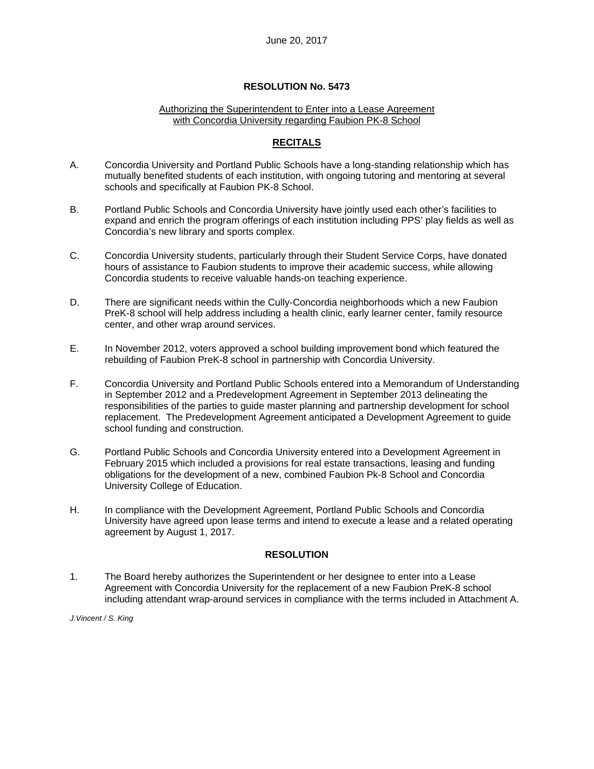#### Authorizing the Superintendent to Enter into a Lease Agreement with Concordia University regarding Faubion PK-8 School

## **RECITALS**

- A. Concordia University and Portland Public Schools have a long-standing relationship which has mutually benefited students of each institution, with ongoing tutoring and mentoring at several schools and specifically at Faubion PK-8 School.
- B. Portland Public Schools and Concordia University have jointly used each other's facilities to expand and enrich the program offerings of each institution including PPS' play fields as well as Concordia's new library and sports complex.
- C. Concordia University students, particularly through their Student Service Corps, have donated hours of assistance to Faubion students to improve their academic success, while allowing Concordia students to receive valuable hands-on teaching experience.
- D. There are significant needs within the Cully-Concordia neighborhoods which a new Faubion PreK-8 school will help address including a health clinic, early learner center, family resource center, and other wrap around services.
- E. In November 2012, voters approved a school building improvement bond which featured the rebuilding of Faubion PreK-8 school in partnership with Concordia University.
- F. Concordia University and Portland Public Schools entered into a Memorandum of Understanding in September 2012 and a Predevelopment Agreement in September 2013 delineating the responsibilities of the parties to guide master planning and partnership development for school replacement. The Predevelopment Agreement anticipated a Development Agreement to guide school funding and construction.
- G. Portland Public Schools and Concordia University entered into a Development Agreement in February 2015 which included a provisions for real estate transactions, leasing and funding obligations for the development of a new, combined Faubion Pk-8 School and Concordia University College of Education.
- H. In compliance with the Development Agreement, Portland Public Schools and Concordia University have agreed upon lease terms and intend to execute a lease and a related operating agreement by August 1, 2017.

#### **RESOLUTION**

1. The Board hereby authorizes the Superintendent or her designee to enter into a Lease Agreement with Concordia University for the replacement of a new Faubion PreK-8 school including attendant wrap-around services in compliance with the terms included in Attachment A.

*J.Vincent / S. King*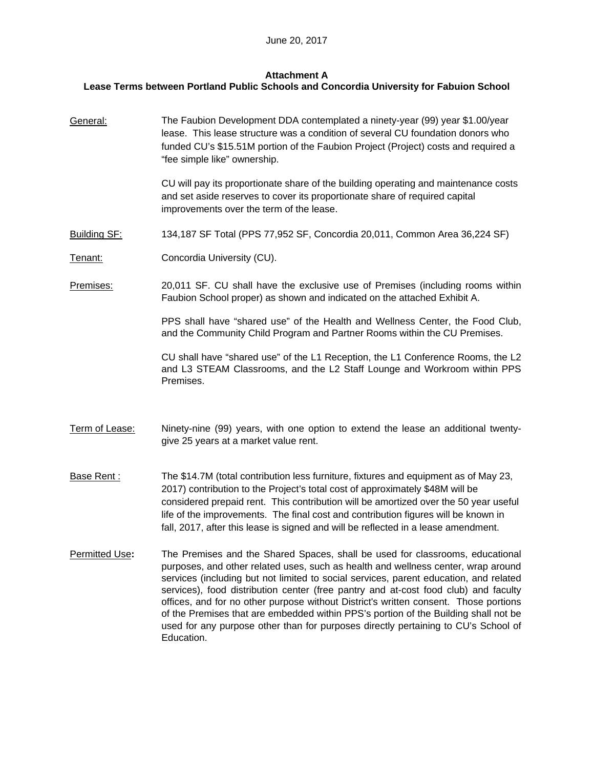## **Attachment A**

## **Lease Terms between Portland Public Schools and Concordia University for Fabuion School**

General: The Faubion Development DDA contemplated a ninety-year (99) year \$1.00/year lease. This lease structure was a condition of several CU foundation donors who funded CU's \$15.51M portion of the Faubion Project (Project) costs and required a "fee simple like" ownership.

> CU will pay its proportionate share of the building operating and maintenance costs and set aside reserves to cover its proportionate share of required capital improvements over the term of the lease.

- Building SF: 134,187 SF Total (PPS 77,952 SF, Concordia 20,011, Common Area 36,224 SF)
- Tenant: Concordia University (CU).

Premises: 20,011 SF. CU shall have the exclusive use of Premises (including rooms within Faubion School proper) as shown and indicated on the attached Exhibit A.

> PPS shall have "shared use" of the Health and Wellness Center, the Food Club, and the Community Child Program and Partner Rooms within the CU Premises.

> CU shall have "shared use" of the L1 Reception, the L1 Conference Rooms, the L2 and L3 STEAM Classrooms, and the L2 Staff Lounge and Workroom within PPS Premises.

- Term of Lease: Ninety-nine (99) years, with one option to extend the lease an additional twentygive 25 years at a market value rent.
- Base Rent : The \$14.7M (total contribution less furniture, fixtures and equipment as of May 23, 2017) contribution to the Project's total cost of approximately \$48M will be considered prepaid rent. This contribution will be amortized over the 50 year useful life of the improvements. The final cost and contribution figures will be known in fall, 2017, after this lease is signed and will be reflected in a lease amendment.
- Permitted Use**:** The Premises and the Shared Spaces, shall be used for classrooms, educational purposes, and other related uses, such as health and wellness center, wrap around services (including but not limited to social services, parent education, and related services), food distribution center (free pantry and at-cost food club) and faculty offices, and for no other purpose without District's written consent. Those portions of the Premises that are embedded within PPS's portion of the Building shall not be used for any purpose other than for purposes directly pertaining to CU's School of Education.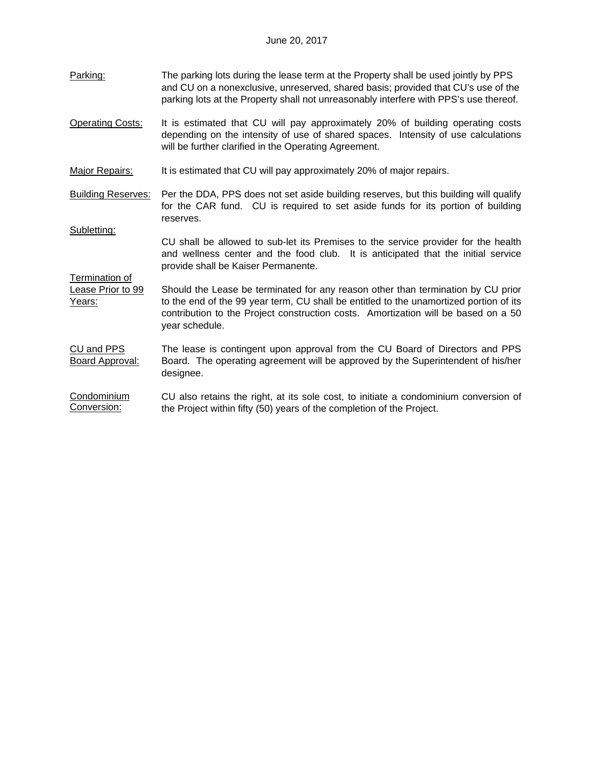- Parking: The parking lots during the lease term at the Property shall be used jointly by PPS and CU on a nonexclusive, unreserved, shared basis; provided that CU's use of the parking lots at the Property shall not unreasonably interfere with PPS's use thereof.
- Operating Costs: It is estimated that CU will pay approximately 20% of building operating costs depending on the intensity of use of shared spaces. Intensity of use calculations will be further clarified in the Operating Agreement.
- Major Repairs: It is estimated that CU will pay approximately 20% of major repairs.

Subletting:

Termination of

- Building Reserves: Per the DDA, PPS does not set aside building reserves, but this building will qualify for the CAR fund. CU is required to set aside funds for its portion of building reserves.
	- CU shall be allowed to sub-let its Premises to the service provider for the health and wellness center and the food club. It is anticipated that the initial service provide shall be Kaiser Permanente.

Lease Prior to 99 Years: Should the Lease be terminated for any reason other than termination by CU prior to the end of the 99 year term, CU shall be entitled to the unamortized portion of its contribution to the Project construction costs. Amortization will be based on a 50 year schedule.

CU and PPS Board Approval: The lease is contingent upon approval from the CU Board of Directors and PPS Board. The operating agreement will be approved by the Superintendent of his/her designee.

Condominium Conversion: CU also retains the right, at its sole cost, to initiate a condominium conversion of the Project within fifty (50) years of the completion of the Project.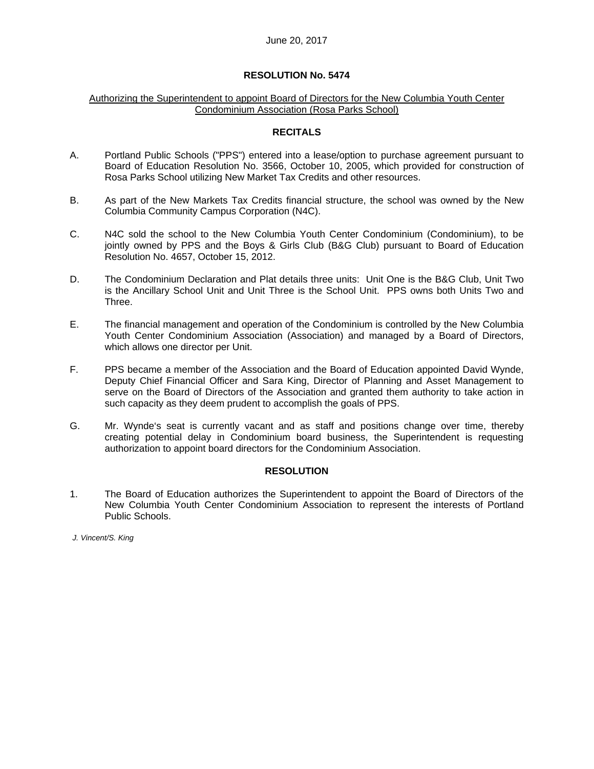#### Authorizing the Superintendent to appoint Board of Directors for the New Columbia Youth Center Condominium Association (Rosa Parks School)

#### **RECITALS**

- A. Portland Public Schools ("PPS") entered into a lease/option to purchase agreement pursuant to Board of Education Resolution No. 3566, October 10, 2005, which provided for construction of Rosa Parks School utilizing New Market Tax Credits and other resources.
- B. As part of the New Markets Tax Credits financial structure, the school was owned by the New Columbia Community Campus Corporation (N4C).
- C. N4C sold the school to the New Columbia Youth Center Condominium (Condominium), to be jointly owned by PPS and the Boys & Girls Club (B&G Club) pursuant to Board of Education Resolution No. 4657, October 15, 2012.
- D. The Condominium Declaration and Plat details three units: Unit One is the B&G Club, Unit Two is the Ancillary School Unit and Unit Three is the School Unit. PPS owns both Units Two and Three.
- E. The financial management and operation of the Condominium is controlled by the New Columbia Youth Center Condominium Association (Association) and managed by a Board of Directors, which allows one director per Unit.
- F. PPS became a member of the Association and the Board of Education appointed David Wynde, Deputy Chief Financial Officer and Sara King, Director of Planning and Asset Management to serve on the Board of Directors of the Association and granted them authority to take action in such capacity as they deem prudent to accomplish the goals of PPS.
- G. Mr. Wynde's seat is currently vacant and as staff and positions change over time, thereby creating potential delay in Condominium board business, the Superintendent is requesting authorization to appoint board directors for the Condominium Association.

#### **RESOLUTION**

1. The Board of Education authorizes the Superintendent to appoint the Board of Directors of the New Columbia Youth Center Condominium Association to represent the interests of Portland Public Schools.

*J. Vincent/S. King*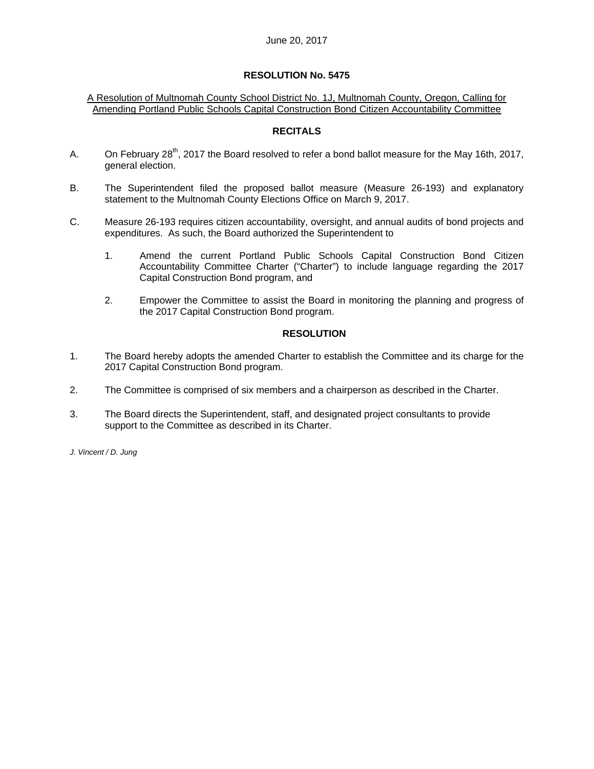#### A Resolution of Multnomah County School District No. 1J, Multnomah County, Oregon, Calling for Amending Portland Public Schools Capital Construction Bond Citizen Accountability Committee

### **RECITALS**

- A. On February 28<sup>th</sup>, 2017 the Board resolved to refer a bond ballot measure for the May 16th, 2017, general election.
- B. The Superintendent filed the proposed ballot measure (Measure 26-193) and explanatory statement to the Multnomah County Elections Office on March 9, 2017.
- C. Measure 26-193 requires citizen accountability, oversight, and annual audits of bond projects and expenditures. As such, the Board authorized the Superintendent to
	- 1. Amend the current Portland Public Schools Capital Construction Bond Citizen Accountability Committee Charter ("Charter") to include language regarding the 2017 Capital Construction Bond program, and
	- 2. Empower the Committee to assist the Board in monitoring the planning and progress of the 2017 Capital Construction Bond program.

#### **RESOLUTION**

- 1. The Board hereby adopts the amended Charter to establish the Committee and its charge for the 2017 Capital Construction Bond program.
- 2. The Committee is comprised of six members and a chairperson as described in the Charter.
- 3. The Board directs the Superintendent, staff, and designated project consultants to provide support to the Committee as described in its Charter.

*J. Vincent / D. Jung*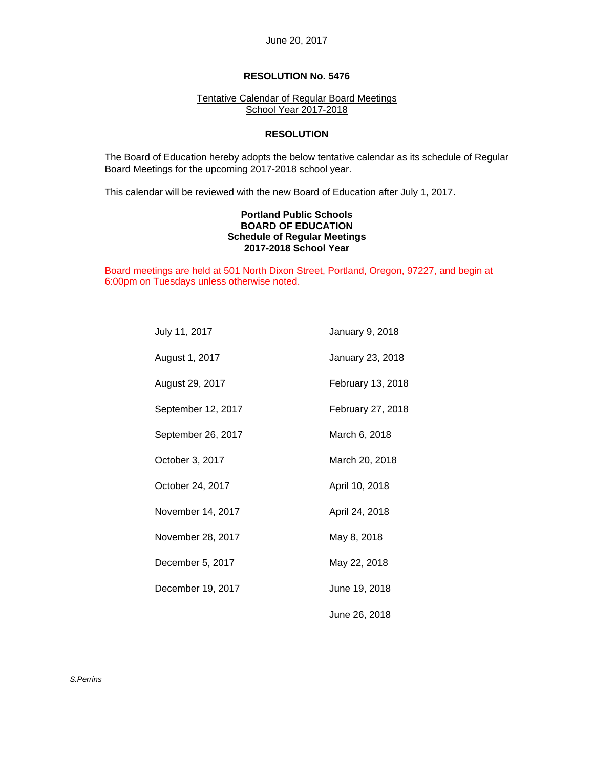#### Tentative Calendar of Regular Board Meetings School Year 2017-2018

#### **RESOLUTION**

 The Board of Education hereby adopts the below tentative calendar as its schedule of Regular Board Meetings for the upcoming 2017-2018 school year.

This calendar will be reviewed with the new Board of Education after July 1, 2017.

#### **Portland Public Schools BOARD OF EDUCATION Schedule of Regular Meetings 2017-2018 School Year**

Board meetings are held at 501 North Dixon Street, Portland, Oregon, 97227, and begin at 6:00pm on Tuesdays unless otherwise noted.

| July 11, 2017      | January 9, 2018   |
|--------------------|-------------------|
| August 1, 2017     | January 23, 2018  |
| August 29, 2017    | February 13, 2018 |
| September 12, 2017 | February 27, 2018 |
| September 26, 2017 | March 6, 2018     |
| October 3, 2017    | March 20, 2018    |
| October 24, 2017   | April 10, 2018    |
| November 14, 2017  | April 24, 2018    |
| November 28, 2017  | May 8, 2018       |
| December 5, 2017   | May 22, 2018      |
| December 19, 2017  | June 19, 2018     |
|                    | June 26, 2018     |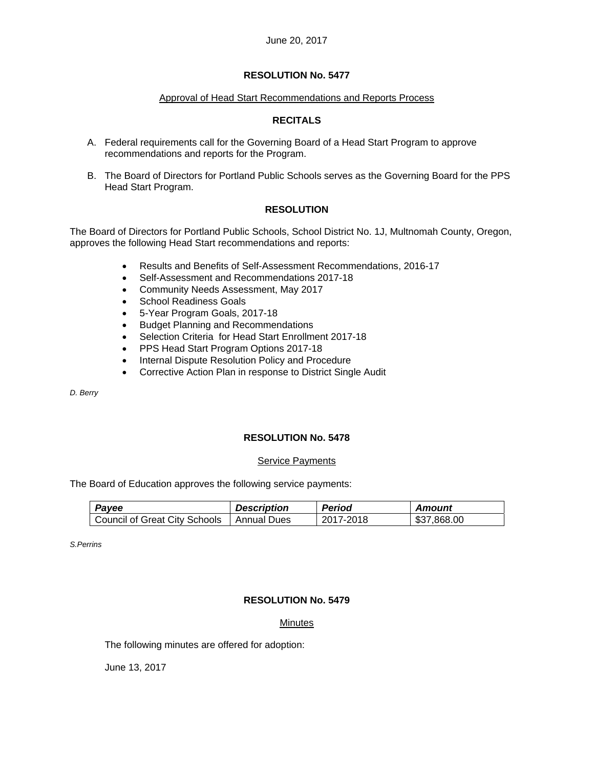#### Approval of Head Start Recommendations and Reports Process

## **RECITALS**

- A. Federal requirements call for the Governing Board of a Head Start Program to approve recommendations and reports for the Program.
- B. The Board of Directors for Portland Public Schools serves as the Governing Board for the PPS Head Start Program.

## **RESOLUTION**

The Board of Directors for Portland Public Schools, School District No. 1J, Multnomah County, Oregon, approves the following Head Start recommendations and reports:

- Results and Benefits of Self-Assessment Recommendations, 2016-17
- Self-Assessment and Recommendations 2017-18
- Community Needs Assessment, May 2017
- School Readiness Goals
- 5-Year Program Goals, 2017-18
- Budget Planning and Recommendations
- Selection Criteria for Head Start Enrollment 2017-18
- PPS Head Start Program Options 2017-18
- Internal Dispute Resolution Policy and Procedure
- Corrective Action Plan in response to District Single Audit

*D. Berry* 

### **RESOLUTION No. 5478**

#### Service Payments

The Board of Education approves the following service payments:

| Payee                                       | <b>Description</b> | <b>Period</b> | Amount      |
|---------------------------------------------|--------------------|---------------|-------------|
| Council of Great City Schools   Annual Dues |                    | 2017-2018     | \$37,868.00 |

*S.Perrins* 

#### **RESOLUTION No. 5479**

#### Minutes

The following minutes are offered for adoption:

June 13, 2017